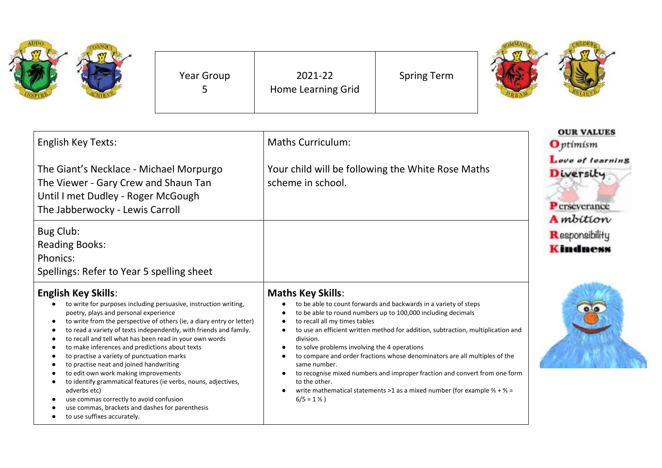| <b>STV</b> |  |
|------------|--|
|            |  |

Year Group 5

2021-22 Home Learning Grid Spring Term



| <b>English Key Texts:</b>                                                                                                                                                                                                                                                                                                                                                                                                                                                                                                                                                                                                                                                                                                                           | <b>Maths Curriculum:</b>                                                                                                                                                                                                                                                                                                                                                                                                                                                                                                                                                                                                                                      | <b>OUR VALUES</b><br><b>O</b> ptimism                                     |
|-----------------------------------------------------------------------------------------------------------------------------------------------------------------------------------------------------------------------------------------------------------------------------------------------------------------------------------------------------------------------------------------------------------------------------------------------------------------------------------------------------------------------------------------------------------------------------------------------------------------------------------------------------------------------------------------------------------------------------------------------------|---------------------------------------------------------------------------------------------------------------------------------------------------------------------------------------------------------------------------------------------------------------------------------------------------------------------------------------------------------------------------------------------------------------------------------------------------------------------------------------------------------------------------------------------------------------------------------------------------------------------------------------------------------------|---------------------------------------------------------------------------|
| The Giant's Necklace - Michael Morpurgo<br>The Viewer - Gary Crew and Shaun Tan<br>Until I met Dudley - Roger McGough<br>The Jabberwocky - Lewis Carroll                                                                                                                                                                                                                                                                                                                                                                                                                                                                                                                                                                                            | Your child will be following the White Rose Maths<br>scheme in school.                                                                                                                                                                                                                                                                                                                                                                                                                                                                                                                                                                                        | Love of learning<br>Diversity<br><b>P</b> crseverance<br><b>A</b> mbition |
| Bug Club:<br><b>Reading Books:</b><br>Phonics:<br>Spellings: Refer to Year 5 spelling sheet                                                                                                                                                                                                                                                                                                                                                                                                                                                                                                                                                                                                                                                         |                                                                                                                                                                                                                                                                                                                                                                                                                                                                                                                                                                                                                                                               | Responsibility<br><b>Kindness</b>                                         |
| <b>English Key Skills:</b><br>to write for purposes including persuasive, instruction writing,<br>poetry, plays and personal experience<br>to write from the perspective of others (ie, a diary entry or letter)<br>to read a variety of texts independently, with friends and family.<br>to recall and tell what has been read in your own words<br>to make inferences and predictions about texts<br>to practise a variety of punctuation marks<br>to practise neat and joined handwriting<br>to edit own work making improvements<br>to identify grammatical features (ie verbs, nouns, adjectives,<br>adverbs etc)<br>use commas correctly to avoid confusion<br>use commas, brackets and dashes for parenthesis<br>to use suffixes accurately. | <b>Maths Key Skills:</b><br>to be able to count forwards and backwards in a variety of steps<br>to be able to round numbers up to 100,000 including decimals<br>to recall all my times tables<br>to use an efficient written method for addition, subtraction, multiplication and<br>division.<br>to solve problems involving the 4 operations<br>to compare and order fractions whose denominators are all multiples of the<br>same number.<br>to recognise mixed numbers and improper fraction and convert from one form<br>to the other.<br>write mathematical statements >1 as a mixed number (for example $\frac{2}{5}$ + $\frac{4}{5}$ =<br>$6/5 = 1\%$ |                                                                           |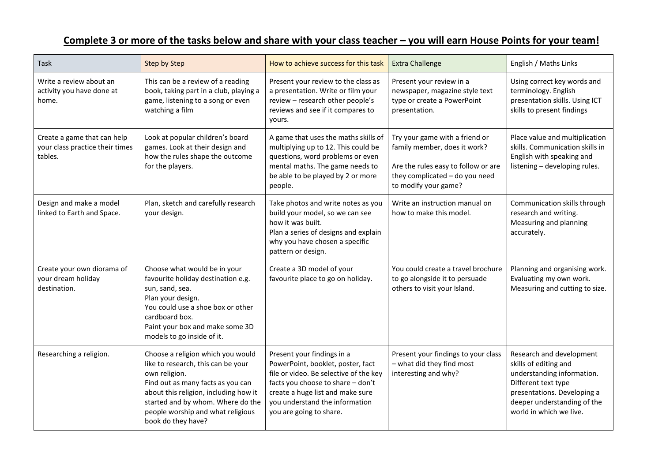## **Complete 3 or more of the tasks below and share with your class teacher – you will earn House Points for your team!**

| <b>Task</b>                                                               | Step by Step                                                                                                                                                                                                                                                           | How to achieve success for this task                                                                                                                                                                                                            | <b>Extra Challenge</b>                                                                                                                                          | English / Maths Links                                                                                                                                                                           |
|---------------------------------------------------------------------------|------------------------------------------------------------------------------------------------------------------------------------------------------------------------------------------------------------------------------------------------------------------------|-------------------------------------------------------------------------------------------------------------------------------------------------------------------------------------------------------------------------------------------------|-----------------------------------------------------------------------------------------------------------------------------------------------------------------|-------------------------------------------------------------------------------------------------------------------------------------------------------------------------------------------------|
| Write a review about an<br>activity you have done at<br>home.             | This can be a review of a reading<br>book, taking part in a club, playing a<br>game, listening to a song or even<br>watching a film                                                                                                                                    | Present your review to the class as<br>a presentation. Write or film your<br>review - research other people's<br>reviews and see if it compares to<br>yours.                                                                                    | Present your review in a<br>newspaper, magazine style text<br>type or create a PowerPoint<br>presentation.                                                      | Using correct key words and<br>terminology. English<br>presentation skills. Using ICT<br>skills to present findings                                                                             |
| Create a game that can help<br>your class practice their times<br>tables. | Look at popular children's board<br>games. Look at their design and<br>how the rules shape the outcome<br>for the players.                                                                                                                                             | A game that uses the maths skills of<br>multiplying up to 12. This could be<br>questions, word problems or even<br>mental maths. The game needs to<br>be able to be played by 2 or more<br>people.                                              | Try your game with a friend or<br>family member, does it work?<br>Are the rules easy to follow or are<br>they complicated - do you need<br>to modify your game? | Place value and multiplication<br>skills. Communication skills in<br>English with speaking and<br>listening - developing rules.                                                                 |
| Design and make a model<br>linked to Earth and Space.                     | Plan, sketch and carefully research<br>your design.                                                                                                                                                                                                                    | Take photos and write notes as you<br>build your model, so we can see<br>how it was built.<br>Plan a series of designs and explain<br>why you have chosen a specific<br>pattern or design.                                                      | Write an instruction manual on<br>how to make this model.                                                                                                       | Communication skills through<br>research and writing.<br>Measuring and planning<br>accurately.                                                                                                  |
| Create your own diorama of<br>your dream holiday<br>destination.          | Choose what would be in your<br>favourite holiday destination e.g.<br>sun, sand, sea.<br>Plan your design.<br>You could use a shoe box or other<br>cardboard box.<br>Paint your box and make some 3D<br>models to go inside of it.                                     | Create a 3D model of your<br>favourite place to go on holiday.                                                                                                                                                                                  | You could create a travel brochure<br>to go alongside it to persuade<br>others to visit your Island.                                                            | Planning and organising work.<br>Evaluating my own work.<br>Measuring and cutting to size.                                                                                                      |
| Researching a religion.                                                   | Choose a religion which you would<br>like to research, this can be your<br>own religion.<br>Find out as many facts as you can<br>about this religion, including how it<br>started and by whom. Where do the<br>people worship and what religious<br>book do they have? | Present your findings in a<br>PowerPoint, booklet, poster, fact<br>file or video. Be selective of the key<br>facts you choose to share - don't<br>create a huge list and make sure<br>you understand the information<br>you are going to share. | Present your findings to your class<br>- what did they find most<br>interesting and why?                                                                        | Research and development<br>skills of editing and<br>understanding information.<br>Different text type<br>presentations. Developing a<br>deeper understanding of the<br>world in which we live. |